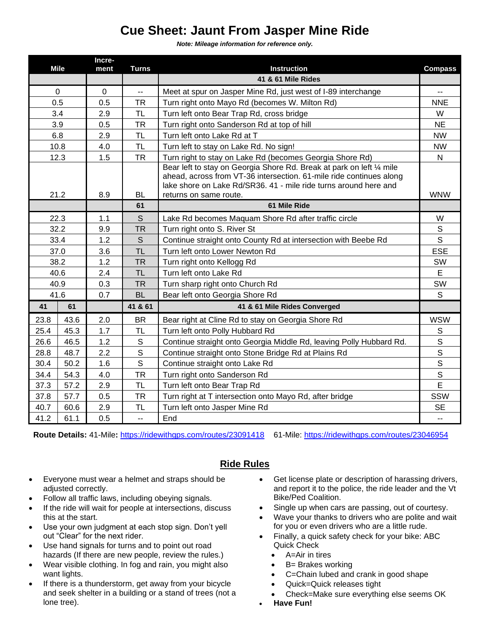## **Cue Sheet: Jaunt From Jasper Mine Ride**

*Note: Mileage information for reference only.*

| <b>Mile</b> |      | Incre-<br>ment | <b>Turns</b> | <b>Instruction</b>                                                                                                                                                                                                                         | <b>Compass</b> |
|-------------|------|----------------|--------------|--------------------------------------------------------------------------------------------------------------------------------------------------------------------------------------------------------------------------------------------|----------------|
|             |      |                |              | 41 & 61 Mile Rides                                                                                                                                                                                                                         |                |
| $\mathbf 0$ |      | 0              | Щ,           | Meet at spur on Jasper Mine Rd, just west of I-89 interchange                                                                                                                                                                              | $\overline{a}$ |
| 0.5         |      | 0.5            | <b>TR</b>    | Turn right onto Mayo Rd (becomes W. Milton Rd)                                                                                                                                                                                             | <b>NNE</b>     |
| 3.4         |      | 2.9            | <b>TL</b>    | Turn left onto Bear Trap Rd, cross bridge                                                                                                                                                                                                  | W              |
| 3.9         |      | 0.5            | <b>TR</b>    | Turn right onto Sanderson Rd at top of hill                                                                                                                                                                                                | <b>NE</b>      |
| 6.8         |      | 2.9            | <b>TL</b>    | Turn left onto Lake Rd at T                                                                                                                                                                                                                | <b>NW</b>      |
| 10.8        |      | 4.0            | <b>TL</b>    | Turn left to stay on Lake Rd. No sign!                                                                                                                                                                                                     | <b>NW</b>      |
| 12.3        |      | 1.5            | <b>TR</b>    | Turn right to stay on Lake Rd (becomes Georgia Shore Rd)                                                                                                                                                                                   | $\mathsf{N}$   |
| 21.2        |      | 8.9            | <b>BL</b>    | Bear left to stay on Georgia Shore Rd. Break at park on left 1/4 mile<br>ahead, across from VT-36 intersection. 61-mile ride continues along<br>lake shore on Lake Rd/SR36. 41 - mile ride turns around here and<br>returns on same route. | <b>WNW</b>     |
|             |      |                | 61           | 61 Mile Ride                                                                                                                                                                                                                               |                |
| 22.3        |      | 1.1            | S            | Lake Rd becomes Maquam Shore Rd after traffic circle                                                                                                                                                                                       | W              |
| 32.2        |      | 9.9            | <b>TR</b>    | Turn right onto S. River St                                                                                                                                                                                                                | S              |
| 33.4        |      | 1.2            | S            | Continue straight onto County Rd at intersection with Beebe Rd                                                                                                                                                                             | S              |
| 37.0        |      | 3.6            | <b>TL</b>    | Turn left onto Lower Newton Rd                                                                                                                                                                                                             | <b>ESE</b>     |
| 38.2        |      | 1.2            | <b>TR</b>    | Turn right onto Kellogg Rd                                                                                                                                                                                                                 | SW             |
| 40.6        |      | 2.4            | <b>TL</b>    | Turn left onto Lake Rd                                                                                                                                                                                                                     | E              |
| 40.9        |      | 0.3            | <b>TR</b>    | Turn sharp right onto Church Rd                                                                                                                                                                                                            | SW             |
| 41.6        |      | 0.7            | <b>BL</b>    | Bear left onto Georgia Shore Rd                                                                                                                                                                                                            | S              |
| 41          | 61   |                | 41 & 61      | 41 & 61 Mile Rides Converged                                                                                                                                                                                                               |                |
| 23.8        | 43.6 | 2.0            | <b>BR</b>    | Bear right at Cline Rd to stay on Georgia Shore Rd                                                                                                                                                                                         | <b>WSW</b>     |
| 25.4        | 45.3 | 1.7            | <b>TL</b>    | Turn left onto Polly Hubbard Rd                                                                                                                                                                                                            | $\mathbb S$    |
| 26.6        | 46.5 | 1.2            | $\mathsf S$  | Continue straight onto Georgia Middle Rd, leaving Polly Hubbard Rd.                                                                                                                                                                        | $\mathsf{s}$   |
| 28.8        | 48.7 | 2.2            | $\mathsf S$  | Continue straight onto Stone Bridge Rd at Plains Rd                                                                                                                                                                                        | $\overline{s}$ |
| 30.4        | 50.2 | 1.6            | $\mathsf{S}$ | Continue straight onto Lake Rd                                                                                                                                                                                                             | $\mathsf S$    |
| 34.4        | 54.3 | 4.0            | <b>TR</b>    | Turn right onto Sanderson Rd                                                                                                                                                                                                               | S              |
| 37.3        | 57.2 | 2.9            | <b>TL</b>    | Turn left onto Bear Trap Rd                                                                                                                                                                                                                | E              |
| 37.8        | 57.7 | 0.5            | <b>TR</b>    | Turn right at T intersection onto Mayo Rd, after bridge                                                                                                                                                                                    | SSW            |
| 40.7        | 60.6 | 2.9            | TL           | Turn left onto Jasper Mine Rd                                                                                                                                                                                                              | <b>SE</b>      |
| 41.2        | 61.1 | 0.5            | u.           | End                                                                                                                                                                                                                                        | $\overline{a}$ |

**Route Details:** 41-Mile**:** <https://ridewithgps.com/routes/23091418> 61-Mile:<https://ridewithgps.com/routes/23046954>

## **Ride Rules**

- Everyone must wear a helmet and straps should be adjusted correctly.
- Follow all traffic laws, including obeying signals.
- If the ride will wait for people at intersections, discuss this at the start.
- Use your own judgment at each stop sign. Don't yell out "Clear" for the next rider.
- Use hand signals for turns and to point out road hazards (If there are new people, review the rules.)
- Wear visible clothing. In fog and rain, you might also want lights.
- If there is a thunderstorm, get away from your bicycle and seek shelter in a building or a stand of trees (not a lone tree).
- Get license plate or description of harassing drivers, and report it to the police, the ride leader and the Vt Bike/Ped Coalition.
- Single up when cars are passing, out of courtesy.
- Wave your thanks to drivers who are polite and wait for you or even drivers who are a little rude.
- Finally, a quick safety check for your bike: ABC Quick Check
	- A=Air in tires
	- B= Brakes working
	- C=Chain lubed and crank in good shape
	- Quick=Quick releases tight
	- Check=Make sure everything else seems OK
- **Have Fun!**